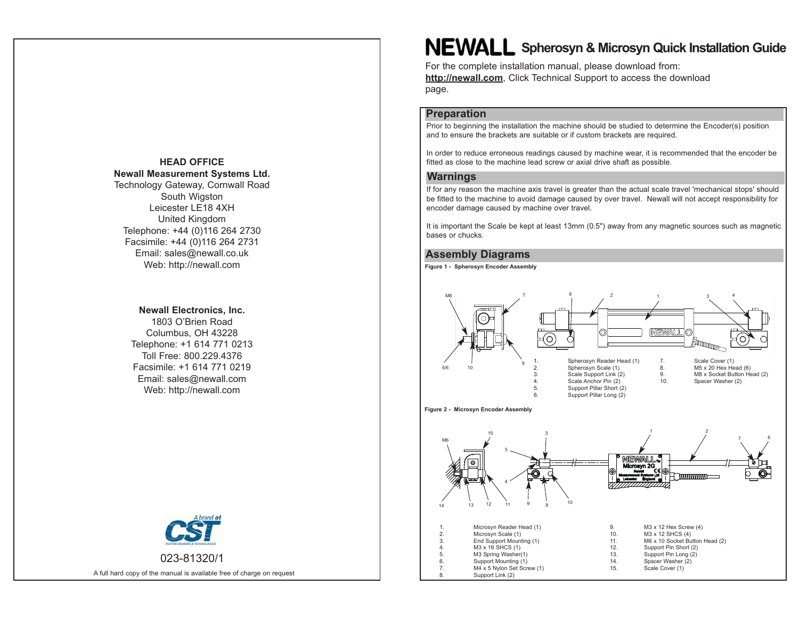## **HEAD OFFICENewall Measurement Systems Ltd.**

Technology Gateway, Cornwall Road South Wigston Leicester LE18 4XHUnited Kingdom Telephone: +44 (0)116 264 2730 Facsimile: +44 (0)116 264 2731 Email: sales@newall.co.uk Web: http://newall.com

#### **Newall Electronics, Inc.**

1803 O'Brien RoadColumbus, OH 43228 Telephone: +1 614 771 0213 Toll Free: 800.229.4376Facsimile: +1 614 771 0219Email: sales@newall.com Web: http://newall.com



A full hard copy of the manual is available free of charge on request

# **NEWALL** Spherosyn & Microsyn Quick Installation Guide

For the complete installation manual, please download from: **http://newall.com**, Click Technical Support to access the download page.

## **Preparation**

Prior to beginning the installation the machine should be studied to determine the Encoder(s) position and to ensure the brackets are suitable or if custom brackets are required.

In order to reduce erroneous readings caused by machine wear, it is recommended that the encoder be fitted as close to the machine lead screw or axial drive shaft as possible.

### **Warnings**

If for any reason the machine axis travel is greater than the actual scale travel 'mechanical stops' should be fitted to the machine to avoid damage caused by over travel. Newall will not accept responsibility for encoder damage caused by machine over travel.

It is important the Scale be kept at least 13mm (0.5") away from any magnetic sources such as magnetic bases or chucks.

## **Assembly Diagrams**

**Figure 1 - Spherosyn Encoder Assembly**